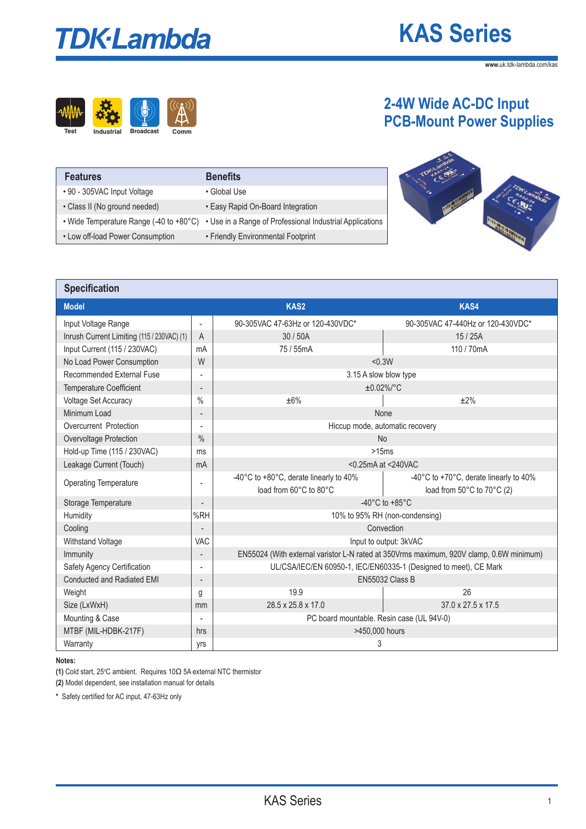# **TDK-Lambda**

# **KAS Series**

**2-4W Wide AC-DC Input** 

**www.**uk.tdk-lambda.com/kas



| <b>Features</b>                         | <b>Benefits</b>                                          |
|-----------------------------------------|----------------------------------------------------------|
| • 90 - 305VAC Input Voltage             | • Global Use                                             |
| • Class II (No ground needed)           | • Easy Rapid On-Board Integration                        |
| • Wide Temperature Range (-40 to +80°C) | • Use in a Range of Professional Industrial Applications |
| • Low off-load Power Consumption        | • Friendly Environmental Footprint                       |



| <b>Specification</b>                       |                          |                                                                                                                                          |                                   |  |  |  |
|--------------------------------------------|--------------------------|------------------------------------------------------------------------------------------------------------------------------------------|-----------------------------------|--|--|--|
| <b>Model</b>                               |                          | KAS2                                                                                                                                     | <b>KAS4</b>                       |  |  |  |
| Input Voltage Range                        | $\overline{\phantom{a}}$ | 90-305VAC 47-63Hz or 120-430VDC*                                                                                                         | 90-305VAC 47-440Hz or 120-430VDC* |  |  |  |
| Inrush Current Limiting (115 / 230VAC) (1) | $\overline{A}$           | 15/25A<br>30/50A                                                                                                                         |                                   |  |  |  |
| Input Current (115 / 230VAC)               | mA                       | 75 / 55mA<br>110 / 70mA                                                                                                                  |                                   |  |  |  |
| No Load Power Consumption                  | W                        | < 0.3W                                                                                                                                   |                                   |  |  |  |
| Recommended External Fuse                  |                          | 3.15 A slow blow type                                                                                                                    |                                   |  |  |  |
| <b>Temperature Coefficient</b>             | $\overline{\phantom{a}}$ |                                                                                                                                          | $±0.02\%/°C$                      |  |  |  |
| Voltage Set Accuracy                       | $\frac{0}{0}$            | ±6%                                                                                                                                      | ±2%                               |  |  |  |
| Minimum Load                               | $\overline{\phantom{a}}$ |                                                                                                                                          | None                              |  |  |  |
| Overcurrent Protection                     |                          | Hiccup mode, automatic recovery                                                                                                          |                                   |  |  |  |
| Overvoltage Protection                     | $\frac{0}{0}$            | <b>No</b>                                                                                                                                |                                   |  |  |  |
| Hold-up Time (115 / 230VAC)                | ms                       | >15ms                                                                                                                                    |                                   |  |  |  |
| Leakage Current (Touch)                    | mA                       | <0.25mA at <240VAC                                                                                                                       |                                   |  |  |  |
| <b>Operating Temperature</b>               |                          | -40°C to +80°C, derate linearly to 40%<br>-40°C to +70°C, derate linearly to 40%<br>load from 60°C to 80°C<br>load from 50°C to 70°C (2) |                                   |  |  |  |
| Storage Temperature                        |                          | $-40^{\circ}$ C to $+85^{\circ}$ C                                                                                                       |                                   |  |  |  |
| Humidity                                   | %RH                      | 10% to 95% RH (non-condensing)                                                                                                           |                                   |  |  |  |
| Cooling                                    |                          | Convection                                                                                                                               |                                   |  |  |  |
| Withstand Voltage                          | VAC                      | Input to output: 3kVAC                                                                                                                   |                                   |  |  |  |
| Immunity                                   |                          | EN55024 (With external varistor L-N rated at 350Vrms maximum, 920V clamp, 0.6W minimum)                                                  |                                   |  |  |  |
| Safety Agency Certification                |                          | UL/CSA/IEC/EN 60950-1, IEC/EN60335-1 (Designed to meet), CE Mark                                                                         |                                   |  |  |  |
| Conducted and Radiated EMI                 |                          | EN55032 Class B                                                                                                                          |                                   |  |  |  |
| Weight                                     | g                        | 19.9<br>26                                                                                                                               |                                   |  |  |  |
| Size (LxWxH)                               | mm                       | 28.5 x 25.8 x 17.0<br>37.0 x 27.5 x 17.5                                                                                                 |                                   |  |  |  |
| Mounting & Case                            |                          | PC board mountable. Resin case (UL 94V-0)                                                                                                |                                   |  |  |  |
| MTBF (MIL-HDBK-217F)                       | hrs                      | >450,000 hours                                                                                                                           |                                   |  |  |  |
| Warranty                                   | yrs                      | 3                                                                                                                                        |                                   |  |  |  |

**Notes:** 

**(1)** Cold start, 25°C ambient. Requires 10Ω 5A external NTC thermistor

**(2)** Model dependent, see installation manual for details

**\*** Safety certified for AC input, 47-63Hz only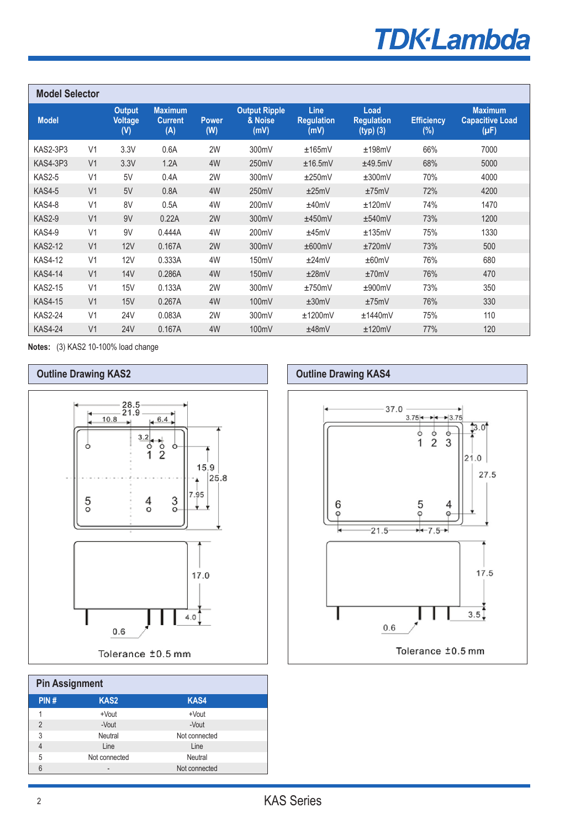# **TDK-Lambda**

| <b>Model Selector</b> |                |                                        |                                         |                     |                                         |                                   |                                          |                             |                                                       |
|-----------------------|----------------|----------------------------------------|-----------------------------------------|---------------------|-----------------------------------------|-----------------------------------|------------------------------------------|-----------------------------|-------------------------------------------------------|
| <b>Model</b>          |                | <b>Output</b><br><b>Voltage</b><br>(V) | <b>Maximum</b><br><b>Current</b><br>(A) | <b>Power</b><br>(W) | <b>Output Ripple</b><br>& Noise<br>(mV) | Line<br><b>Requlation</b><br>(mV) | Load<br><b>Requlation</b><br>$(typ)$ (3) | <b>Efficiency</b><br>$(\%)$ | <b>Maximum</b><br><b>Capacitive Load</b><br>$(\mu F)$ |
| <b>KAS2-3P3</b>       | V <sub>1</sub> | 3.3V                                   | 0.6A                                    | 2W                  | 300mV                                   | ±165mV                            | ±198mV                                   | 66%                         | 7000                                                  |
| <b>KAS4-3P3</b>       | V <sub>1</sub> | 3.3V                                   | 1.2A                                    | 4W                  | 250mV                                   | ±16.5mV                           | ±49.5mV                                  | 68%                         | 5000                                                  |
| <b>KAS2-5</b>         | V <sub>1</sub> | 5V                                     | 0.4A                                    | 2W                  | 300mV                                   | ±250mV                            | ±300mV                                   | 70%                         | 4000                                                  |
| <b>KAS4-5</b>         | V <sub>1</sub> | 5V                                     | 0.8A                                    | 4W                  | 250mV                                   | ±25mV                             | ±75mV                                    | 72%                         | 4200                                                  |
| KAS4-8                | V <sub>1</sub> | 8V                                     | 0.5A                                    | 4W                  | 200mV                                   | ±40mV                             | ±120mV                                   | 74%                         | 1470                                                  |
| <b>KAS2-9</b>         | V <sub>1</sub> | 9V                                     | 0.22A                                   | 2W                  | 300mV                                   | ±450mV                            | ±540mV                                   | 73%                         | 1200                                                  |
| <b>KAS4-9</b>         | V <sub>1</sub> | 9V                                     | 0.444A                                  | 4W                  | 200mV                                   | ±45mV                             | ±135mV                                   | 75%                         | 1330                                                  |
| <b>KAS2-12</b>        | V <sub>1</sub> | 12V                                    | 0.167A                                  | 2W                  | 300mV                                   | ±600mV                            | ±720mV                                   | 73%                         | 500                                                   |
| <b>KAS4-12</b>        | V <sub>1</sub> | 12V                                    | 0.333A                                  | 4W                  | 150mV                                   | ±24mV                             | ±60mV                                    | 76%                         | 680                                                   |
| <b>KAS4-14</b>        | V <sub>1</sub> | 14V                                    | 0.286A                                  | 4W                  | 150mV                                   | ±28mV                             | ±70mV                                    | 76%                         | 470                                                   |
| <b>KAS2-15</b>        | V <sub>1</sub> | 15V                                    | 0.133A                                  | 2W                  | 300mV                                   | ±750mV                            | ±900mV                                   | 73%                         | 350                                                   |
| <b>KAS4-15</b>        | V <sub>1</sub> | 15V                                    | 0.267A                                  | 4W                  | 100mV                                   | ±30mV                             | ±75mV                                    | 76%                         | 330                                                   |
| <b>KAS2-24</b>        | V <sub>1</sub> | <b>24V</b>                             | 0.083A                                  | 2W                  | 300mV                                   | ±1200mV                           | ±1440mV                                  | 75%                         | 110                                                   |
| <b>KAS4-24</b>        | V <sub>1</sub> | <b>24V</b>                             | 0.167A                                  | 4W                  | 100mV                                   | ±48mV                             | ±120mV                                   | 77%                         | 120                                                   |

**Notes:** (3) KAS2 10-100% load change



| <b>Pin Assignment</b> |                 |               |  |  |  |  |  |
|-----------------------|-----------------|---------------|--|--|--|--|--|
| PIN#                  | <b>KAS2</b>     | <b>KAS4</b>   |  |  |  |  |  |
| 1                     | +Vout           | +Vout         |  |  |  |  |  |
| $\mathfrak{p}$        | -Vout           | -Vout         |  |  |  |  |  |
| 3                     | Neutral         | Not connected |  |  |  |  |  |
| 4                     | Line            | Line          |  |  |  |  |  |
| 5                     | Not connected   | Neutral       |  |  |  |  |  |
| 6                     | $\qquad \qquad$ | Not connected |  |  |  |  |  |